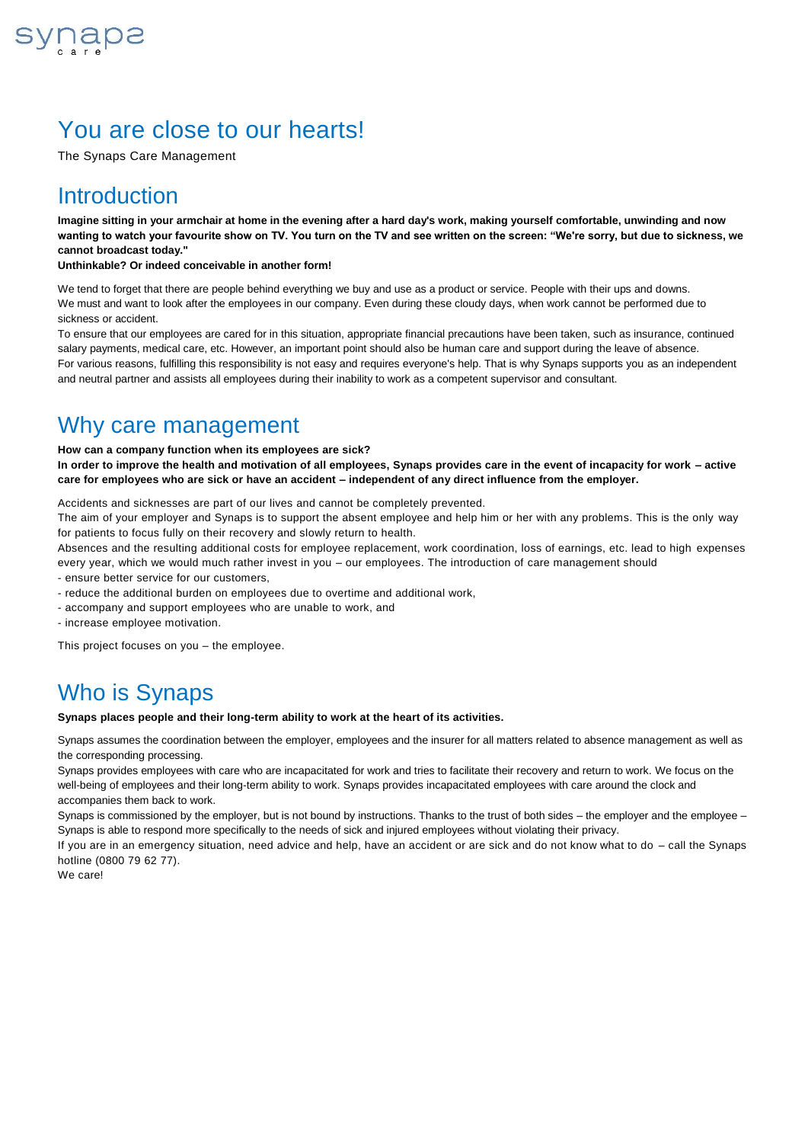

## You are close to our hearts!

The Synaps Care Management

### **Introduction**

**Imagine sitting in your armchair at home in the evening after a hard day's work, making yourself comfortable, unwinding and now wanting to watch your favourite show on TV. You turn on the TV and see written on the screen: "We're sorry, but due to sickness, we cannot broadcast today."**

#### **Unthinkable? Or indeed conceivable in another form!**

We tend to forget that there are people behind everything we buy and use as a product or service. People with their ups and downs. We must and want to look after the employees in our company. Even during these cloudy days, when work cannot be performed due to sickness or accident.

To ensure that our employees are cared for in this situation, appropriate financial precautions have been taken, such as insurance, continued salary payments, medical care, etc. However, an important point should also be human care and support during the leave of absence. For various reasons, fulfilling this responsibility is not easy and requires everyone's help. That is why Synaps supports you as an independent and neutral partner and assists all employees during their inability to work as a competent supervisor and consultant.

## Why care management

#### **How can a company function when its employees are sick?**

**In order to improve the health and motivation of all employees, Synaps provides care in the event of incapacity for work – active care for employees who are sick or have an accident – independent of any direct influence from the employer.** 

Accidents and sicknesses are part of our lives and cannot be completely prevented.

The aim of your employer and Synaps is to support the absent employee and help him or her with any problems. This is the only way for patients to focus fully on their recovery and slowly return to health.

Absences and the resulting additional costs for employee replacement, work coordination, loss of earnings, etc. lead to high expenses every year, which we would much rather invest in you – our employees. The introduction of care management should

- ensure better service for our customers,

- reduce the additional burden on employees due to overtime and additional work,
- accompany and support employees who are unable to work, and

- increase employee motivation.

This project focuses on you – the employee.

## Who is Synaps

**Synaps places people and their long-term ability to work at the heart of its activities.**

Synaps assumes the coordination between the employer, employees and the insurer for all matters related to absence management as well as the corresponding processing.

Synaps provides employees with care who are incapacitated for work and tries to facilitate their recovery and return to work. We focus on the well-being of employees and their long-term ability to work. Synaps provides incapacitated employees with care around the clock and accompanies them back to work.

Synaps is commissioned by the employer, but is not bound by instructions. Thanks to the trust of both sides – the employer and the employee – Synaps is able to respond more specifically to the needs of sick and injured employees without violating their privacy.

If you are in an emergency situation, need advice and help, have an accident or are sick and do not know what to do – call the Synaps hotline (0800 79 62 77).

We care!